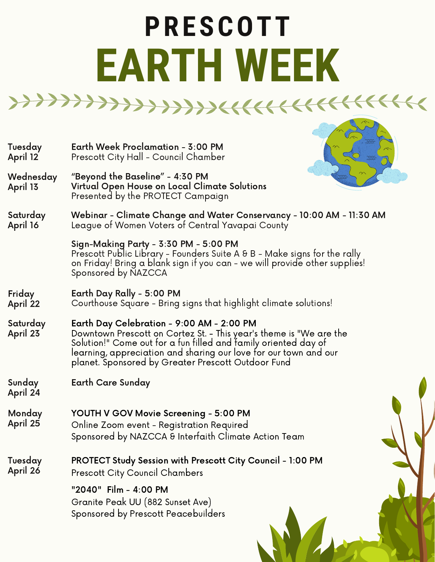## **PRESCOTT EARTH WEEK**

- Earth Week Proclamation 3:00 PM Prescott City Hall - Council Chamber Tuesday April 12
- "Beyond the Baseline" 4:30 PM Virtual Open House on Local Climate Solutions Presented by the PROTECT Campaign Wednesday April 13



Webinar - Climate Change and Water Conservancy - 10:00 AM - 11:30 AM League of Women Voters of Central Yavapai County Saturday April 16

> Sign-Making Party - 3:30 PM - 5:00 PM Prescott Public Library - Founders Suite A & B - Make signs for the rally on Friday! Bring a blank sign if you can - we will provide other supplies! Sponsored by NAZCCA

- Earth Day Rally 5:00 PM Courthouse Square - Bring signs that highlight climate solutions! Friday April 22
- Earth Day Celebration 9:00 AM 2:00 PM Downtown Prescott on Cortez St. - This year's theme is "We are the Solution!" Come out for a fun filled and family oriented day of learning, appreciation and sharing our love for our town and our planet. Sponsored by Greater Prescott Outdoor Fund Saturday April 23
- Sunday Earth Care Sunday
- April 24
- YOUTH V GOV Movie Screening 5:00 PM Online Zoom event - Registration Required Monday April 25
	- Sponsored by NAZCCA & Interfaith Climate Action Team
- Tuesday April 26 PROTECT Study Session with Prescott City Council - 1:00 PM Prescott City Council Chambers

"2040" Film - 4:00 PM Granite Peak UU (882 Sunset Ave) Sponsored by Prescott Peacebuilders